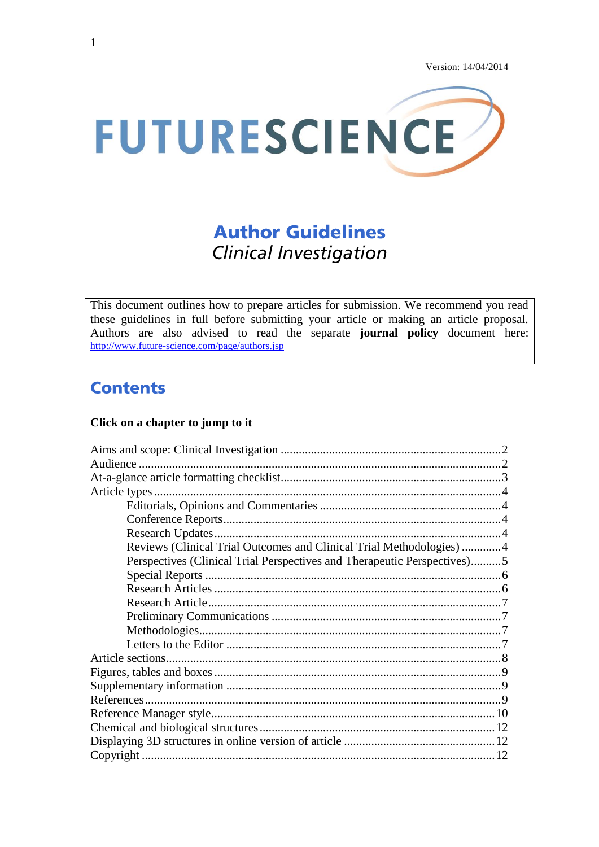

# **Author Guidelines Clinical Investigation**

This document outlines how to prepare articles for submission. We recommend you read these guidelines in full before submitting your article or making an article proposal. Authors are also advised to read the separate **journal policy** document here: <http://www.future-science.com/page/authors.jsp>

## **Contents**

### **Click on a chapter to jump to it**

| Reviews (Clinical Trial Outcomes and Clinical Trial Methodologies) 4     |  |  |  |  |  |
|--------------------------------------------------------------------------|--|--|--|--|--|
| Perspectives (Clinical Trial Perspectives and Therapeutic Perspectives)5 |  |  |  |  |  |
|                                                                          |  |  |  |  |  |
|                                                                          |  |  |  |  |  |
|                                                                          |  |  |  |  |  |
|                                                                          |  |  |  |  |  |
|                                                                          |  |  |  |  |  |
|                                                                          |  |  |  |  |  |
|                                                                          |  |  |  |  |  |
|                                                                          |  |  |  |  |  |
|                                                                          |  |  |  |  |  |
|                                                                          |  |  |  |  |  |
|                                                                          |  |  |  |  |  |
|                                                                          |  |  |  |  |  |
|                                                                          |  |  |  |  |  |
|                                                                          |  |  |  |  |  |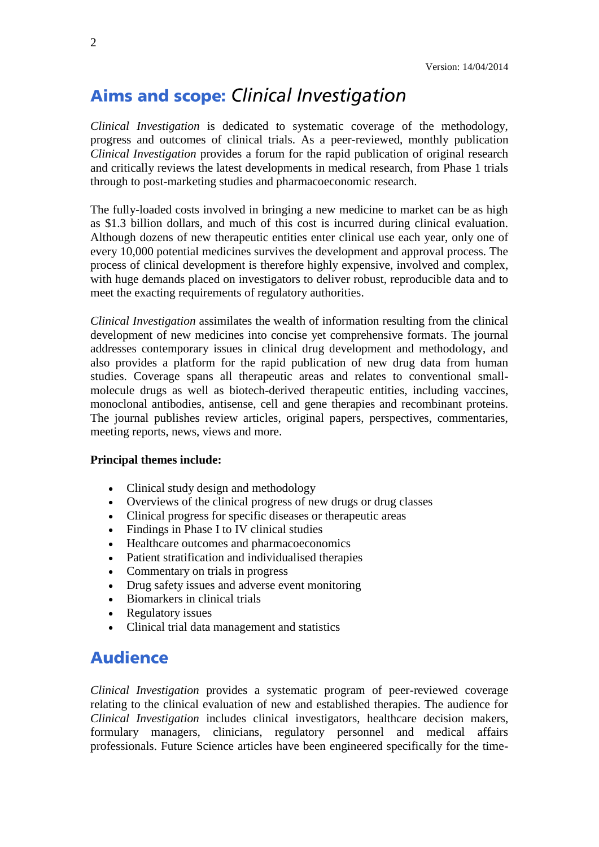## <span id="page-1-0"></span>**Aims and scope: Clinical Investigation**

*Clinical Investigation* is dedicated to systematic coverage of the methodology, progress and outcomes of clinical trials. As a peer-reviewed, monthly publication *Clinical Investigation* provides a forum for the rapid publication of original research and critically reviews the latest developments in medical research, from Phase 1 trials through to post-marketing studies and pharmacoeconomic research.

The fully-loaded costs involved in bringing a new medicine to market can be as high as \$1.3 billion dollars, and much of this cost is incurred during clinical evaluation. Although dozens of new therapeutic entities enter clinical use each year, only one of every 10,000 potential medicines survives the development and approval process. The process of clinical development is therefore highly expensive, involved and complex, with huge demands placed on investigators to deliver robust, reproducible data and to meet the exacting requirements of regulatory authorities.

*Clinical Investigation* assimilates the wealth of information resulting from the clinical development of new medicines into concise yet comprehensive formats. The journal addresses contemporary issues in clinical drug development and methodology, and also provides a platform for the rapid publication of new drug data from human studies. Coverage spans all therapeutic areas and relates to conventional smallmolecule drugs as well as biotech-derived therapeutic entities, including vaccines, monoclonal antibodies, antisense, cell and gene therapies and recombinant proteins. The journal publishes review articles, original papers, perspectives, commentaries, meeting reports, news, views and more.

#### **Principal themes include:**

- Clinical study design and methodology
- Overviews of the clinical progress of new drugs or drug classes
- Clinical progress for specific diseases or therapeutic areas
- Findings in Phase I to IV clinical studies
- Healthcare outcomes and pharmacoeconomics
- Patient stratification and individualised therapies
- Commentary on trials in progress
- Drug safety issues and adverse event monitoring
- Biomarkers in clinical trials
- Regulatory issues
- Clinical trial data management and statistics

### <span id="page-1-1"></span>**Audience**

*Clinical Investigation* provides a systematic program of peer-reviewed coverage relating to the clinical evaluation of new and established therapies. The audience for *Clinical Investigation* includes clinical investigators, healthcare decision makers, formulary managers, clinicians, regulatory personnel and medical affairs professionals. Future Science articles have been engineered specifically for the time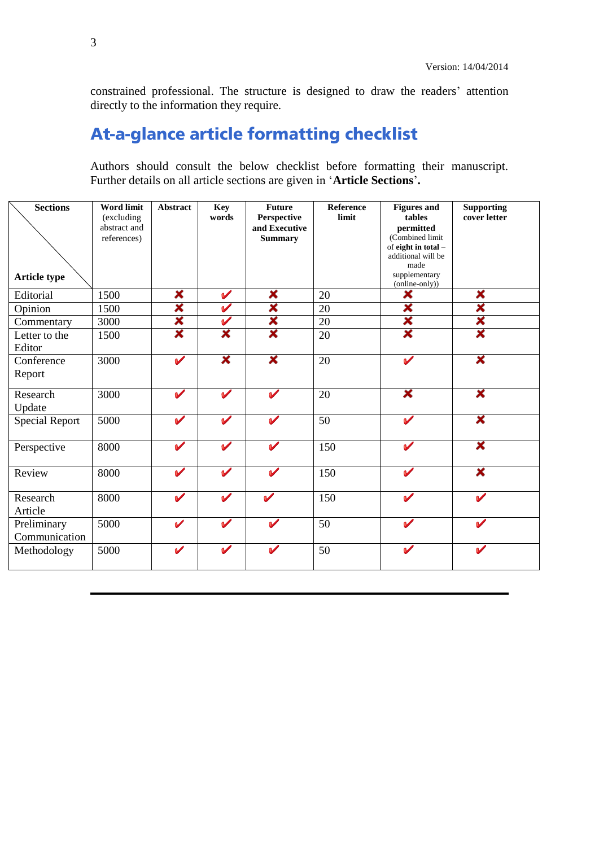constrained professional. The structure is designed to draw the readers' attention directly to the information they require.

## <span id="page-2-0"></span>At-a-glance article formatting checklist

Authors should consult the below checklist before formatting their manuscript. Further details on all article sections are given in '**Article Sections**'**.**

| <b>Sections</b>       | <b>Word limit</b>          | <b>Abstract</b>            | <b>Key</b>           | <b>Future</b>                | <b>Reference</b> | <b>Figures and</b>         | <b>Supporting</b>  |
|-----------------------|----------------------------|----------------------------|----------------------|------------------------------|------------------|----------------------------|--------------------|
|                       | (excluding<br>abstract and |                            | words                | Perspective<br>and Executive | limit            | tables<br>permitted        | cover letter       |
|                       | references)                |                            |                      | <b>Summary</b>               |                  | (Combined limit            |                    |
|                       |                            |                            |                      |                              |                  | of eight in total -        |                    |
|                       |                            |                            |                      |                              |                  | additional will be<br>made |                    |
| Article type          |                            |                            |                      |                              |                  | supplementary              |                    |
|                       |                            |                            |                      |                              |                  | (online-only))             |                    |
| Editorial             | 1500                       | ×                          | $\blacktriangledown$ | ×                            | 20               | ×                          | ×                  |
| Opinion               | 1500                       | ×                          | $\blacktriangledown$ | ×                            | 20               | ×                          | ×                  |
| Commentary            | 3000                       | ×                          | $\checkmark$         | ×                            | 20               | ×                          | X                  |
| Letter to the         | 1500                       | ×                          | ×                    | ×                            | 20               | ×                          | ×                  |
| Editor                |                            |                            |                      |                              |                  |                            |                    |
| Conference            | 3000                       | $\boldsymbol{\mathcal{U}}$ | ×                    | ×                            | 20               | $\boldsymbol{\mathscr{C}}$ | ×                  |
| Report                |                            |                            |                      |                              |                  |                            |                    |
|                       |                            |                            |                      |                              |                  |                            |                    |
| Research              | 3000                       | $\boldsymbol{\mathscr{C}}$ | $\checkmark$         | $\boldsymbol{\mathcal{U}}$   | 20               | ×                          | ×                  |
| Update                |                            |                            |                      |                              |                  |                            |                    |
| <b>Special Report</b> | 5000                       | $\blacktriangledown$       | $\checkmark$         | $\overline{\mathcal{L}}$     | 50               | $\boldsymbol{\mathcal{U}}$ | ×                  |
|                       |                            |                            |                      |                              |                  |                            |                    |
| Perspective           | 8000                       | $\blacktriangledown$       | $\blacktriangledown$ | $\boldsymbol{\nu}$           | 150              | $\boldsymbol{\nu}$         | ×                  |
|                       |                            |                            |                      |                              |                  |                            |                    |
| Review                | 8000                       | $\checkmark$               | $\blacktriangledown$ | $\mathbf{v}$                 | 150              | $\mathbf v$                | ×                  |
|                       |                            |                            |                      |                              |                  |                            |                    |
| Research              | 8000                       | $\checkmark$               | $\mathbf v$          | $\boldsymbol{\mathcal{U}}$   | 150              | $\boldsymbol{\nu}$         | $\boldsymbol{\nu}$ |
| Article               |                            |                            |                      |                              |                  |                            |                    |
| Preliminary           | 5000                       | $\mathbf v$                | $\checkmark$         | $\boldsymbol{\nu}$           | 50               | $\boldsymbol{\nu}$         | $\mathbf v$        |
| Communication         |                            |                            |                      |                              |                  |                            |                    |
| Methodology           | 5000                       | $\mathbf v$                | $\blacktriangledown$ | V                            | 50               | $\boldsymbol{\mathcal{U}}$ | V                  |
|                       |                            |                            |                      |                              |                  |                            |                    |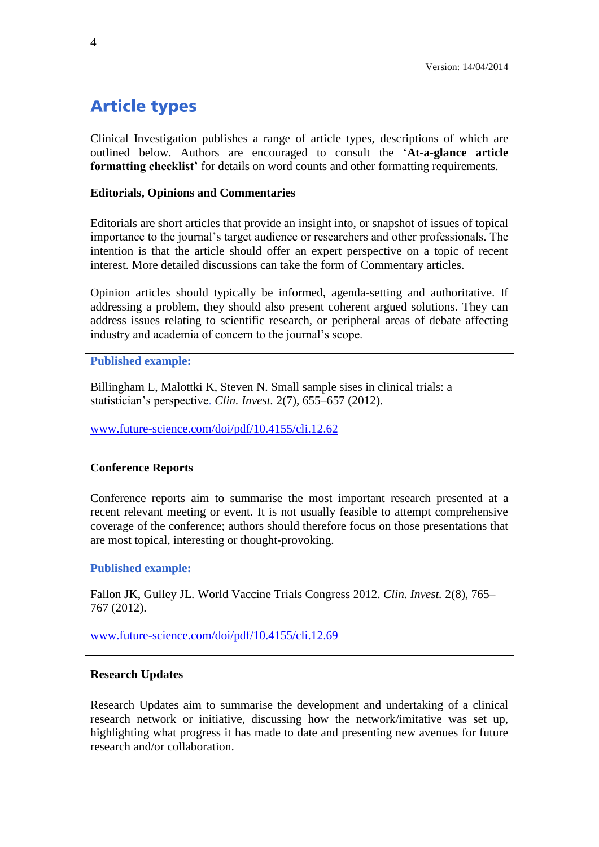## <span id="page-3-0"></span>**Article types**

Clinical Investigation publishes a range of article types, descriptions of which are outlined below. Authors are encouraged to consult the '**At-a-glance article formatting checklist'** for details on word counts and other formatting requirements.

### <span id="page-3-1"></span>**Editorials, Opinions and Commentaries**

Editorials are short articles that provide an insight into, or snapshot of issues of topical importance to the journal's target audience or researchers and other professionals. The intention is that the article should offer an expert perspective on a topic of recent interest. More detailed discussions can take the form of Commentary articles.

Opinion articles should typically be informed, agenda-setting and authoritative. If addressing a problem, they should also present coherent argued solutions. They can address issues relating to scientific research, or peripheral areas of debate affecting industry and academia of concern to the journal's scope.

**Published example:**

Billingham L, Malottki K, Steven N. Small sample sises in clinical trials: a statistician's perspective. *Clin. Invest.* 2(7), 655–657 (2012).

[www.future-science.com/doi/pdf/10.4155/cli.12.62](http://www.future-science.com/doi/pdf/10.4155/cli.12.62)

### <span id="page-3-2"></span>**Conference Reports**

Conference reports aim to summarise the most important research presented at a recent relevant meeting or event. It is not usually feasible to attempt comprehensive coverage of the conference; authors should therefore focus on those presentations that are most topical, interesting or thought-provoking.

**Published example:**

Fallon JK, Gulley JL. World Vaccine Trials Congress 2012. *Clin. Invest.* 2(8), 765– 767 (2012).

[www.future-science.com/doi/pdf/10.4155/cli.12.69](http://www.future-science.com/doi/pdf/10.4155/cli.12.69)

### <span id="page-3-3"></span>**Research Updates**

Research Updates aim to summarise the development and undertaking of a clinical research network or initiative, discussing how the network/imitative was set up, highlighting what progress it has made to date and presenting new avenues for future research and/or collaboration.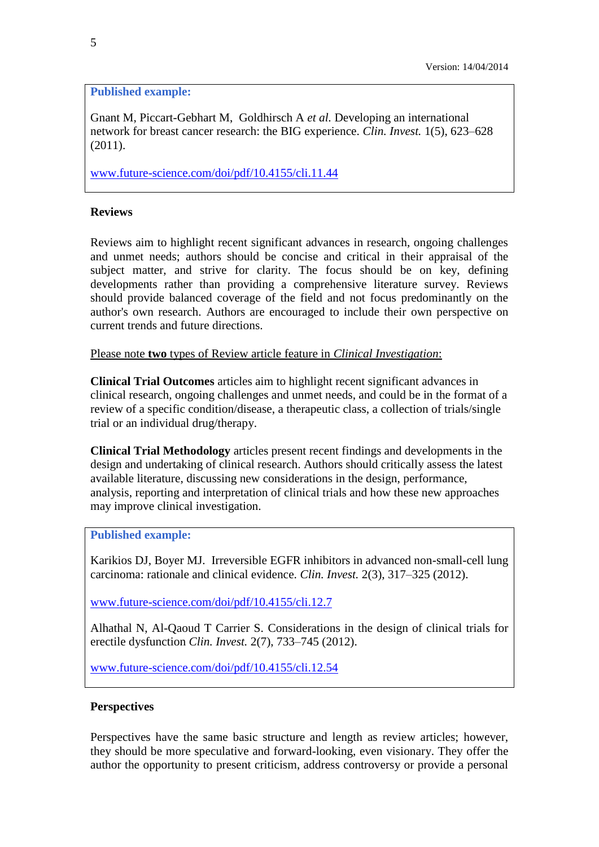### **Published example:**

Gnant M, Piccart-Gebhart M, Goldhirsch A *et al.* Developing an international network for breast cancer research: the BIG experience. *Clin. Invest.* 1(5), 623–628 (2011).

[www.future-science.com/doi/pdf/10.4155/cli.11.44](http://www.future-science.com/doi/pdf/10.4155/cli.11.44)

### **Reviews**

Reviews aim to highlight recent significant advances in research, ongoing challenges and unmet needs; authors should be concise and critical in their appraisal of the subject matter, and strive for clarity. The focus should be on key, defining developments rather than providing a comprehensive literature survey. Reviews should provide balanced coverage of the field and not focus predominantly on the author's own research. Authors are encouraged to include their own perspective on current trends and future directions.

Please note **two** types of Review article feature in *Clinical Investigation*:

**Clinical Trial Outcomes** articles aim to highlight recent significant advances in clinical research, ongoing challenges and unmet needs, and could be in the format of a review of a specific condition/disease, a therapeutic class, a collection of trials/single trial or an individual drug/therapy.

**Clinical Trial Methodology** articles present recent findings and developments in the design and undertaking of clinical research. Authors should critically assess the latest available literature, discussing new considerations in the design, performance, analysis, reporting and interpretation of clinical trials and how these new approaches may improve clinical investigation.

### **Published example:**

Karikios DJ, Boyer MJ. Irreversible EGFR inhibitors in advanced non-small-cell lung carcinoma: rationale and clinical evidence. *Clin. Invest.* 2(3), 317–325 (2012).

[www.future-science.com/doi/pdf/10.4155/cli.12.7](http://www.future-science.com/doi/pdf/10.4155/cli.12.7)

Alhathal N, Al-Qaoud T Carrier S. Considerations in the design of clinical trials for erectile dysfunction *Clin. Invest.* 2(7), 733–745 (2012).

[www.future-science.com/doi/pdf/10.4155/cli.12.54](http://www.future-science.com/doi/pdf/10.4155/cli.12.54)

### <span id="page-4-0"></span>**Perspectives**

Perspectives have the same basic structure and length as review articles; however, they should be more speculative and forward-looking, even visionary. They offer the author the opportunity to present criticism, address controversy or provide a personal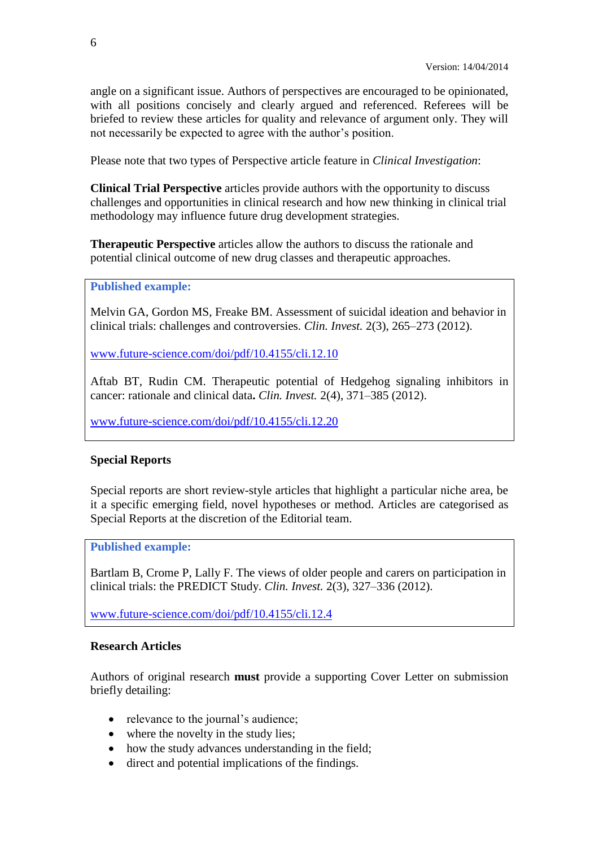angle on a significant issue. Authors of perspectives are encouraged to be opinionated, with all positions concisely and clearly argued and referenced. Referees will be briefed to review these articles for quality and relevance of argument only. They will not necessarily be expected to agree with the author's position.

Please note that two types of Perspective article feature in *Clinical Investigation*:

**Clinical Trial Perspective** articles provide authors with the opportunity to discuss challenges and opportunities in clinical research and how new thinking in clinical trial methodology may influence future drug development strategies.

**Therapeutic Perspective** articles allow the authors to discuss the rationale and potential clinical outcome of new drug classes and therapeutic approaches.

#### **Published example:**

Melvin GA, Gordon MS, Freake BM. Assessment of suicidal ideation and behavior in clinical trials: challenges and controversies. *Clin. Invest.* 2(3), 265–273 (2012).

[www.future-science.com/doi/pdf/10.4155/cli.12.10](http://www.future-science.com/doi/pdf/10.4155/cli.12.10)

Aftab BT, Rudin CM. Therapeutic potential of Hedgehog signaling inhibitors in cancer: rationale and clinical data**.** *Clin. Invest.* 2(4), 371–385 (2012).

[www.future-science.com/doi/pdf/10.4155/cli.12.20](http://www.future-science.com/doi/pdf/10.4155/cli.12.20) 

### <span id="page-5-0"></span>**Special Reports**

Special reports are short review-style articles that highlight a particular niche area, be it a specific emerging field, novel hypotheses or method. Articles are categorised as Special Reports at the discretion of the Editorial team.

**Published example:**

Bartlam B, Crome P, Lally F. The views of older people and carers on participation in clinical trials: the PREDICT Study. *Clin. Invest.* 2(3), 327–336 (2012).

[www.future-science.com/doi/pdf/10.4155/cli.12.4](http://www.future-science.com/doi/pdf/10.4155/cli.12.4)

### <span id="page-5-1"></span>**Research Articles**

Authors of original research **must** provide a supporting Cover Letter on submission briefly detailing:

- relevance to the journal's audience;
- where the novelty in the study lies:
- how the study advances understanding in the field;
- direct and potential implications of the findings.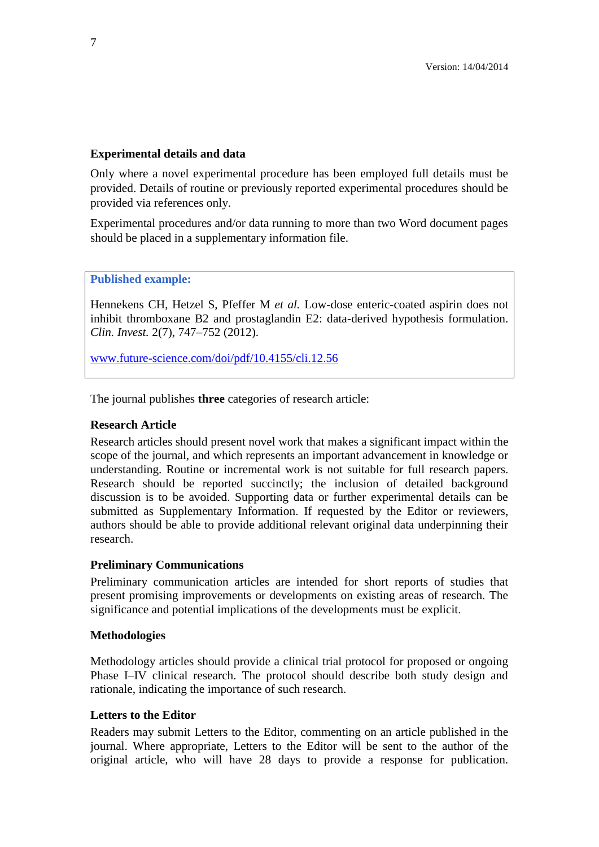### **Experimental details and data**

Only where a novel experimental procedure has been employed full details must be provided. Details of routine or previously reported experimental procedures should be provided via references only.

Experimental procedures and/or data running to more than two Word document pages should be placed in a supplementary information file.

**Published example:**

Hennekens CH, Hetzel S, Pfeffer M *et al.* Low-dose enteric-coated aspirin does not inhibit thromboxane B2 and prostaglandin E2: data-derived hypothesis formulation. *Clin. Invest.* 2(7), 747–752 (2012).

[www.future-science.com/doi/pdf/10.4155/cli.12.56](http://www.future-science.com/doi/pdf/10.4155/cli.12.56)

The journal publishes **three** categories of research article:

### <span id="page-6-0"></span>**Research Article**

Research articles should present novel work that makes a significant impact within the scope of the journal, and which represents an important advancement in knowledge or understanding. Routine or incremental work is not suitable for full research papers. Research should be reported succinctly; the inclusion of detailed background discussion is to be avoided. Supporting data or further experimental details can be submitted as Supplementary Information. If requested by the Editor or reviewers, authors should be able to provide additional relevant original data underpinning their research.

### <span id="page-6-1"></span>**Preliminary Communications**

Preliminary communication articles are intended for short reports of studies that present promising improvements or developments on existing areas of research. The significance and potential implications of the developments must be explicit.

### <span id="page-6-2"></span>**Methodologies**

<span id="page-6-3"></span>Methodology articles should provide a clinical trial protocol for proposed or ongoing Phase I–IV clinical research. The protocol should describe both study design and rationale, indicating the importance of such research.

### **Letters to the Editor**

Readers may submit Letters to the Editor, commenting on an article published in the journal. Where appropriate, Letters to the Editor will be sent to the author of the original article, who will have 28 days to provide a response for publication.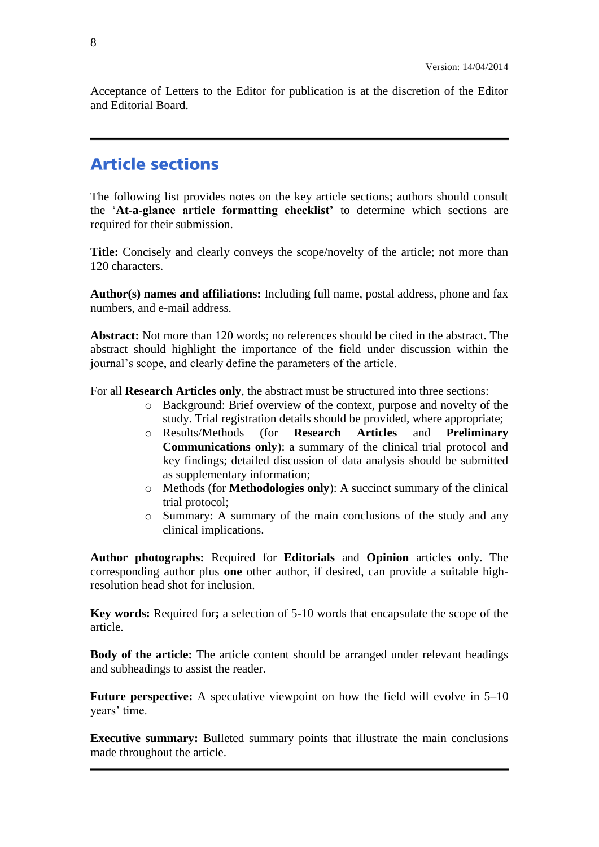<span id="page-7-0"></span>Acceptance of Letters to the Editor for publication is at the discretion of the Editor and Editorial Board.

### **Article sections**

The following list provides notes on the key article sections; authors should consult the '**At-a-glance article formatting checklist'** to determine which sections are required for their submission.

**Title:** Concisely and clearly conveys the scope/novelty of the article; not more than 120 characters.

**Author(s) names and affiliations:** Including full name, postal address, phone and fax numbers, and e-mail address.

**Abstract:** Not more than 120 words; no references should be cited in the abstract. The abstract should highlight the importance of the field under discussion within the journal's scope, and clearly define the parameters of the article.

For all **Research Articles only**, the abstract must be structured into three sections:

- o Background: Brief overview of the context, purpose and novelty of the study. Trial registration details should be provided, where appropriate;
- o Results/Methods (for **Research Articles** and **Preliminary Communications only**): a summary of the clinical trial protocol and key findings; detailed discussion of data analysis should be submitted as supplementary information;
- o Methods (for **Methodologies only**): A succinct summary of the clinical trial protocol;
- o Summary: A summary of the main conclusions of the study and any clinical implications.

**Author photographs:** Required for **Editorials** and **Opinion** articles only. The corresponding author plus **one** other author, if desired, can provide a suitable highresolution head shot for inclusion.

**Key words:** Required for**;** a selection of 5-10 words that encapsulate the scope of the article.

**Body of the article:** The article content should be arranged under relevant headings and subheadings to assist the reader.

**Future perspective:** A speculative viewpoint on how the field will evolve in 5–10 years' time.

<span id="page-7-1"></span>**Executive summary:** Bulleted summary points that illustrate the main conclusions made throughout the article.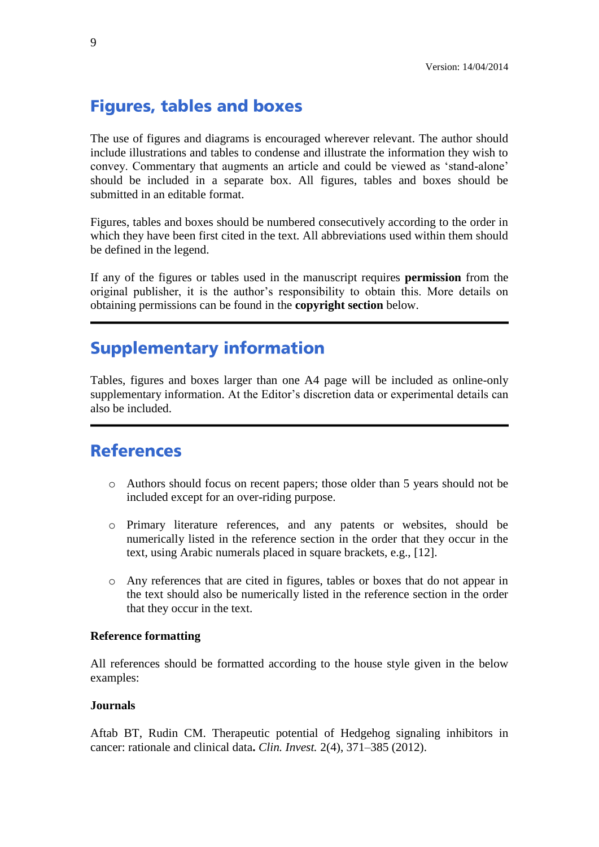### **Figures, tables and boxes**

The use of figures and diagrams is encouraged wherever relevant. The author should include illustrations and tables to condense and illustrate the information they wish to convey. Commentary that augments an article and could be viewed as 'stand-alone' should be included in a separate box. All figures, tables and boxes should be submitted in an editable format.

Figures, tables and boxes should be numbered consecutively according to the order in which they have been first cited in the text. All abbreviations used within them should be defined in the legend.

If any of the figures or tables used in the manuscript requires **permission** from the original publisher, it is the author's responsibility to obtain this. More details on obtaining permissions can be found in the **copyright section** below.

### <span id="page-8-0"></span>**Supplementary information**

Tables, figures and boxes larger than one A4 page will be included as online-only supplementary information. At the Editor's discretion data or experimental details can also be included.

### <span id="page-8-1"></span>**References**

- o Authors should focus on recent papers; those older than 5 years should not be included except for an over-riding purpose.
- o Primary literature references, and any patents or websites, should be numerically listed in the reference section in the order that they occur in the text, using Arabic numerals placed in square brackets, e.g., [12].
- o Any references that are cited in figures, tables or boxes that do not appear in the text should also be numerically listed in the reference section in the order that they occur in the text.

### **Reference formatting**

All references should be formatted according to the house style given in the below examples:

#### **Journals**

Aftab BT, Rudin CM. Therapeutic potential of Hedgehog signaling inhibitors in cancer: rationale and clinical data**.** *Clin. Invest.* 2(4), 371–385 (2012).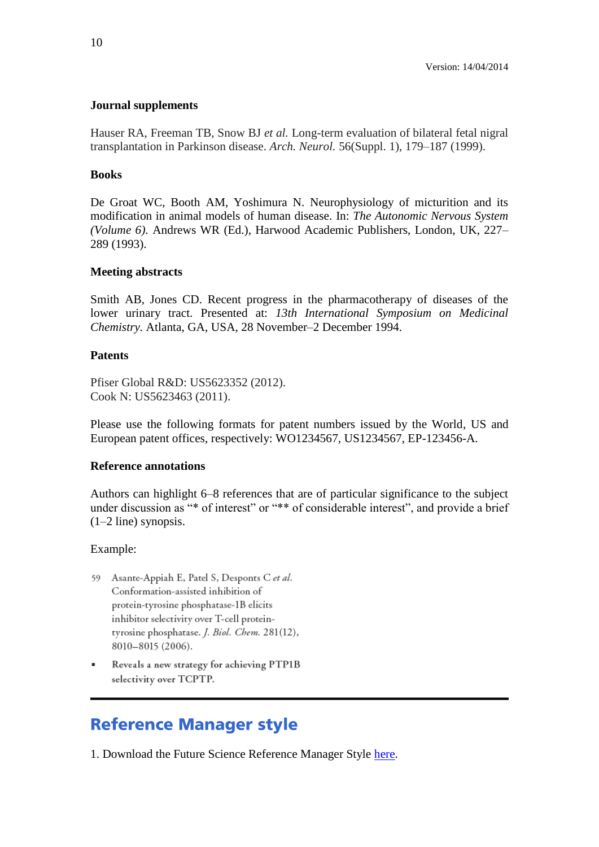### **Journal supplements**

Hauser RA, Freeman TB, Snow BJ *et al.* Long-term evaluation of bilateral fetal nigral transplantation in Parkinson disease. *Arch. Neurol.* 56(Suppl. 1), 179–187 (1999).

#### **Books**

De Groat WC, Booth AM, Yoshimura N. Neurophysiology of micturition and its modification in animal models of human disease. In: *The Autonomic Nervous System (Volume 6)*. Andrews WR (Ed.), Harwood Academic Publishers, London, UK, 227– 289 (1993).

#### **Meeting abstracts**

Smith AB, Jones CD. Recent progress in the pharmacotherapy of diseases of the lower urinary tract. Presented at: *13th International Symposium on Medicinal Chemistry.* Atlanta, GA, USA, 28 November–2 December 1994.

#### **Patents**

Pfiser Global R&D: US5623352 (2012). Cook N: US5623463 (2011).

Please use the following formats for patent numbers issued by the World, US and European patent offices, respectively: WO1234567, US1234567, EP-123456-A.

#### **Reference annotations**

Authors can highlight 6–8 references that are of particular significance to the subject under discussion as "\* of interest" or "\*\* of considerable interest", and provide a brief (1–2 line) synopsis.

#### Example:

- 59 Asante-Appiah E, Patel S, Desponts C et al. Conformation-assisted inhibition of protein-tyrosine phosphatase-1B elicits inhibitor selectivity over T-cell proteintyrosine phosphatase. J. Biol. Chem. 281(12), 8010-8015 (2006).
- Reveals a new strategy for achieving PTP1B selectivity over TCPTP.

### <span id="page-9-0"></span>**Reference Manager style**

1. Download the Future Science Reference Manager Style [here.](http://www.future-science.com/userimages/ContentEditor/1308649968656/FutureScience.os)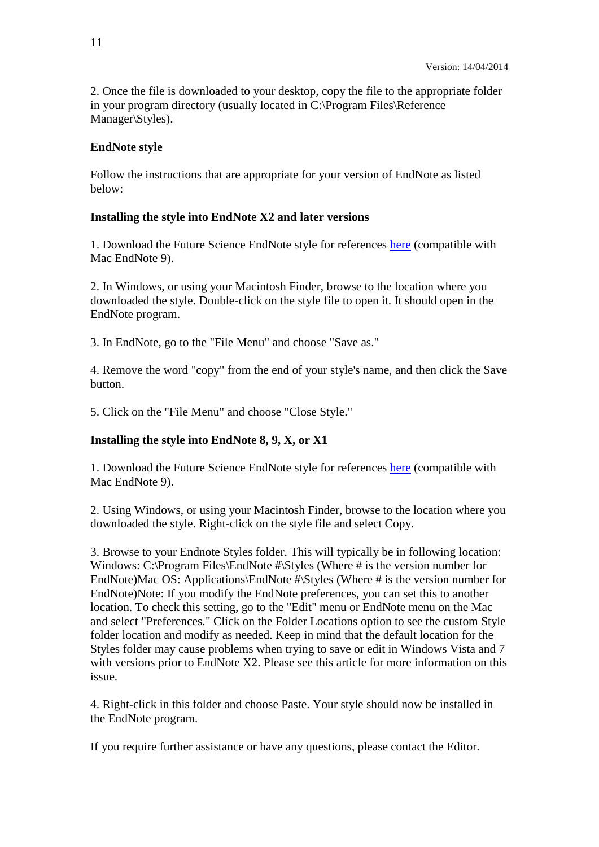2. Once the file is downloaded to your desktop, copy the file to the appropriate folder in your program directory (usually located in C:\Program Files\Reference Manager\Styles).

### **EndNote style**

Follow the instructions that are appropriate for your version of EndNote as listed below:

### **Installing the style into EndNote X2 and later versions**

1. Download the Future Science EndNote style for references [here](http://www.future-science.com/userimages/ContentEditor/1308649963157/FutureScience.ens) (compatible with Mac EndNote 9).

2. In Windows, or using your Macintosh Finder, browse to the location where you downloaded the style. Double-click on the style file to open it. It should open in the EndNote program.

3. In EndNote, go to the "File Menu" and choose "Save as."

4. Remove the word "copy" from the end of your style's name, and then click the Save button.

5. Click on the "File Menu" and choose "Close Style."

### **Installing the style into EndNote 8, 9, X, or X1**

1. Download the Future Science EndNote style for references [here](http://www.future-science.com/userimages/ContentEditor/1308649963157/FutureScience.ens) (compatible with Mac EndNote 9).

2. Using Windows, or using your Macintosh Finder, browse to the location where you downloaded the style. Right-click on the style file and select Copy.

3. Browse to your Endnote Styles folder. This will typically be in following location: Windows: C:\Program Files\EndNote #\Styles (Where # is the version number for EndNote)Mac OS: Applications\EndNote #\Styles (Where # is the version number for EndNote)Note: If you modify the EndNote preferences, you can set this to another location. To check this setting, go to the "Edit" menu or EndNote menu on the Mac and select "Preferences." Click on the Folder Locations option to see the custom Style folder location and modify as needed. Keep in mind that the default location for the Styles folder may cause problems when trying to save or edit in Windows Vista and 7 with versions prior to EndNote X2. Please see this article for more information on this issue.

4. Right-click in this folder and choose Paste. Your style should now be installed in the EndNote program.

If you require further assistance or have any questions, please contact the Editor.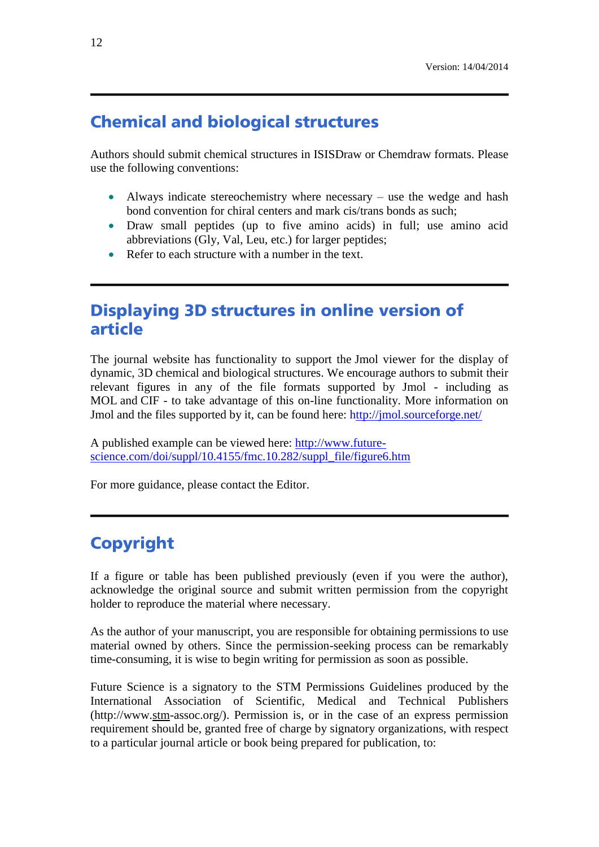### <span id="page-11-0"></span>**Chemical and biological structures**

Authors should submit chemical structures in ISISDraw or Chemdraw formats. Please use the following conventions:

- Always indicate stereochemistry where necessary use the wedge and hash bond convention for chiral centers and mark cis/trans bonds as such;
- Draw small peptides (up to five amino acids) in full; use amino acid abbreviations (Gly, Val, Leu, etc.) for larger peptides;
- Refer to each structure with a number in the text.

### <span id="page-11-1"></span>**Displaying 3D structures in online version of** article

The journal website has functionality to support the Jmol viewer for the display of dynamic, 3D chemical and biological structures. We encourage authors to submit their relevant figures in any of the file formats supported by Jmol - including as MOL and CIF - to take advantage of this on-line functionality. More information on Jmol and the files supported by it, can be found here: <http://jmol.sourceforge.net/>

A published example can be viewed here: [http://www.future](http://www.future-science.com/doi/suppl/10.4155/fmc.10.282/suppl_file/figure6.htm)[science.com/doi/suppl/10.4155/fmc.10.282/suppl\\_file/figure6.htm](http://www.future-science.com/doi/suppl/10.4155/fmc.10.282/suppl_file/figure6.htm)

For more guidance, please contact the Editor.

## <span id="page-11-2"></span>**Copyright**

If a figure or table has been published previously (even if you were the author), acknowledge the original source and submit written permission from the copyright holder to reproduce the material where necessary.

As the author of your manuscript, you are responsible for obtaining permissions to use material owned by others. Since the permission-seeking process can be remarkably time-consuming, it is wise to begin writing for permission as soon as possible.

Future Science is a signatory to the STM Permissions Guidelines produced by the International Association of Scientific, Medical and Technical Publishers (http://www.stm-assoc.org/). Permission is, or in the case of an express permission requirement should be, granted free of charge by signatory organizations, with respect to a particular journal article or book being prepared for publication, to: